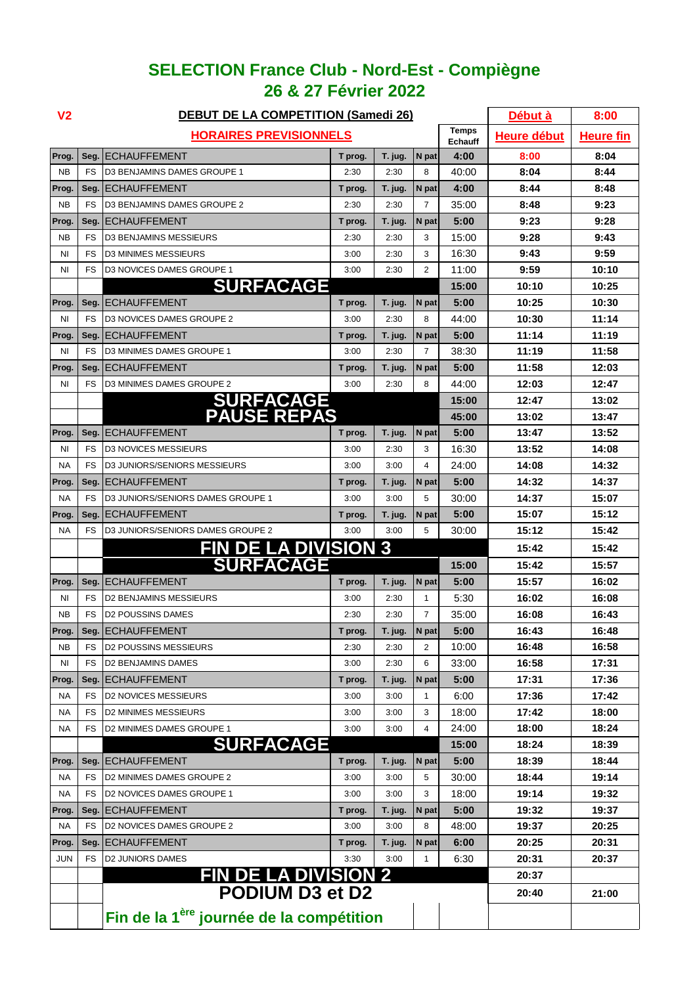## **SELECTION France Club - Nord-Est - Compiègne 26 & 27 Février 2022**

| V <sub>2</sub> |           | <b>DEBUT DE LA COMPETITION (Samedi 26)</b>           |                    | Début à          | 8:00           |       |       |       |
|----------------|-----------|------------------------------------------------------|--------------------|------------------|----------------|-------|-------|-------|
|                |           | <b>HORAIRES PREVISIONNELS</b>                        | <b>Heure début</b> | <u>Heure fin</u> |                |       |       |       |
| Prog.          | Seg.      | <b>ECHAUFFEMENT</b>                                  | T prog.            | T. jug.          | N pat          | 4:00  | 8:00  | 8:04  |
| <b>NB</b>      | FS        | D3 BENJAMINS DAMES GROUPE 1                          | 2:30               | 2:30             | 8              | 40:00 | 8:04  | 8:44  |
| Prog.          | Seg.      | <b>ECHAUFFEMENT</b>                                  | T prog.            | T. jug.          | N pat          | 4:00  | 8:44  | 8:48  |
| ΝB             | <b>FS</b> | D3 BENJAMINS DAMES GROUPE 2                          | 2:30               | 2:30             | $\overline{7}$ | 35:00 | 8:48  | 9:23  |
| Prog.          | Seg.      | <b>ECHAUFFEMENT</b>                                  | T prog.            | T. jug.          | N pat          | 5:00  | 9:23  | 9:28  |
| <b>NB</b>      | <b>FS</b> | <b>D3 BENJAMINS MESSIEURS</b>                        | 2:30               | 2:30             | 3              | 15:00 | 9:28  | 9:43  |
| <b>NI</b>      | FS        | <b>D3 MINIMES MESSIEURS</b>                          | 3:00               | 2:30             | 3              | 16:30 | 9:43  | 9:59  |
| <b>NI</b>      | FS        | D3 NOVICES DAMES GROUPE 1                            | 3:00               | 2:30             | $\overline{2}$ | 11:00 | 9:59  | 10:10 |
|                |           | <b>SURFACAGE</b>                                     |                    | 15:00            | 10:10          | 10:25 |       |       |
| Prog.          | Seg.      | <b>ECHAUFFEMENT</b>                                  | T prog.            | T. jug.          | N pat          | 5:00  | 10:25 | 10:30 |
| <b>NI</b>      | <b>FS</b> | D3 NOVICES DAMES GROUPE 2                            | 3:00               | 2:30             | 8              | 44:00 | 10:30 | 11:14 |
| Prog           | Seg.      | <b>ECHAUFFEMENT</b>                                  | T prog.            | T. jug.          | N pat          | 5:00  | 11:14 | 11:19 |
| <b>NI</b>      | FS        | D3 MINIMES DAMES GROUPE 1                            | 3:00               | 2:30             | 7              | 38:30 | 11:19 | 11:58 |
| Prog.          | Seg.      | <b>ECHAUFFEMENT</b>                                  | T prog.            | T. jug.          | N pat          | 5:00  | 11:58 | 12:03 |
| ΝI             | <b>FS</b> | D3 MINIMES DAMES GROUPE 2                            | 3:00               | 2:30             | 8              | 44:00 | 12:03 | 12:47 |
|                |           | <b>SURFACAGE<br/>PAUSE REPAS</b>                     |                    |                  |                | 15:00 | 12:47 | 13:02 |
|                |           |                                                      |                    |                  |                | 45:00 | 13:02 | 13:47 |
| Prog.          | Seg.      | <b>ECHAUFFEMENT</b>                                  | T prog.            | T. jug.          | N pat          | 5:00  | 13:47 | 13:52 |
| <b>NI</b>      | <b>FS</b> | <b>D3 NOVICES MESSIEURS</b>                          | 3:00               | 2:30             | 3              | 16:30 | 13:52 | 14:08 |
| <b>NA</b>      | FS        | D3 JUNIORS/SENIORS MESSIEURS                         | 3:00               | 3:00             | 4              | 24:00 | 14:08 | 14:32 |
| Prog           | Seg.      | <b>ECHAUFFEMENT</b>                                  | T prog.            | T. jug.          | N pat          | 5:00  | 14:32 | 14:37 |
| <b>NA</b>      | <b>FS</b> | D3 JUNIORS/SENIORS DAMES GROUPE 1                    | 3:00               | 3:00             | 5              | 30:00 | 14:37 | 15:07 |
| Prog           | Seg.      | <b>ECHAUFFEMENT</b>                                  | T prog.            | T. jug.          | N pat          | 5:00  | 15:07 | 15:12 |
| NA             | <b>FS</b> | D3 JUNIORS/SENIORS DAMES GROUPE 2                    | 3:00               | 3:00             | 5              | 30:00 | 15:12 | 15:42 |
|                |           | <b>FIN DE LA DIVISION 3</b>                          |                    |                  |                |       | 15:42 | 15:42 |
|                |           | <b>SURFACAGE</b>                                     |                    |                  |                | 15:00 | 15:42 | 15:57 |
| Prog.          | Seg.      | <b>ECHAUFFEMENT</b>                                  | T prog.            | T. jug.          | N pat          | 5:00  | 15:57 | 16:02 |
| ΝI             | FS        | D2 BENJAMINS MESSIEURS                               | 3:00               | 2:30             | 1              | 5:30  | 16:02 | 16:08 |
| <b>NB</b>      | <b>FS</b> | <b>D2 POUSSINS DAMES</b>                             | 2:30               | 2:30             | $\overline{7}$ | 35:00 | 16:08 | 16:43 |
| Prog.          | Seg.      | <b>ECHAUFFEMENT</b>                                  | T prog.            | T. jug.          | N pat          | 5:00  | 16:43 | 16:48 |
| NΒ             | FS        | <b>D2 POUSSINS MESSIEURS</b>                         | 2:30               | 2:30             | 2              | 10:00 | 16:48 | 16:58 |
| ΝI             | FS        | <b>D2 BENJAMINS DAMES</b>                            | 3:00               | 2:30             | 6              | 33:00 | 16:58 | 17:31 |
| Prog.          | Seg.      | <b>ECHAUFFEMENT</b>                                  | T prog.            | T. jug.          | N pat          | 5:00  | 17:31 | 17:36 |
| NA             | FS        | <b>D2 NOVICES MESSIEURS</b>                          | 3:00               | 3:00             | 1              | 6:00  | 17:36 | 17:42 |
| <b>NA</b>      | FS        | <b>D2 MINIMES MESSIEURS</b>                          | 3:00               | 3:00             | 3              | 18:00 | 17:42 | 18:00 |
| NA             | <b>FS</b> | D2 MINIMES DAMES GROUPE 1                            | 3:00               | 3:00             | 4              | 24:00 | 18:00 | 18:24 |
|                |           | <b>SURFACAGE</b>                                     |                    |                  |                | 15:00 | 18:24 | 18:39 |
| Prog.          | Seg.      | <b>ECHAUFFEMENT</b>                                  | T prog.            | T. jug.          | N pat          | 5:00  | 18:39 | 18:44 |
| NA.            | FS        | D2 MINIMES DAMES GROUPE 2                            | 3:00               | 3:00             | 5              | 30:00 | 18:44 | 19:14 |
| <b>NA</b>      | FS        | D2 NOVICES DAMES GROUPE 1                            | 3:00               | 3:00             | 3              | 18:00 | 19:14 | 19:32 |
| Prog.          | Seg.      | IECHAUFFEMENT                                        | T prog.            | T. jug.          | N pat          | 5:00  | 19:32 | 19:37 |
| NA             | <b>FS</b> | D2 NOVICES DAMES GROUPE 2                            | 3:00               | 3:00             | 8              | 48:00 | 19:37 | 20:25 |
| Prog.          | Seg.      | <b>ECHAUFFEMENT</b>                                  | T prog.            | T. jug.          | N pat          | 6:00  | 20:25 | 20:31 |
| <b>JUN</b>     | FS        | <b>D2 JUNIORS DAMES</b>                              | 3:30               | 3:00             | 1              | 6:30  | 20:31 | 20:37 |
|                |           | <b>FIN DE LA DIVISION 2</b>                          |                    |                  |                |       | 20:37 |       |
|                |           | <b>PODIUM D3 et D2</b>                               |                    | 20:40            | 21:00          |       |       |       |
|                |           | Fin de la 1 <sup>ère</sup> journée de la compétition |                    |                  |                |       |       |       |
|                |           |                                                      |                    |                  |                |       |       |       |